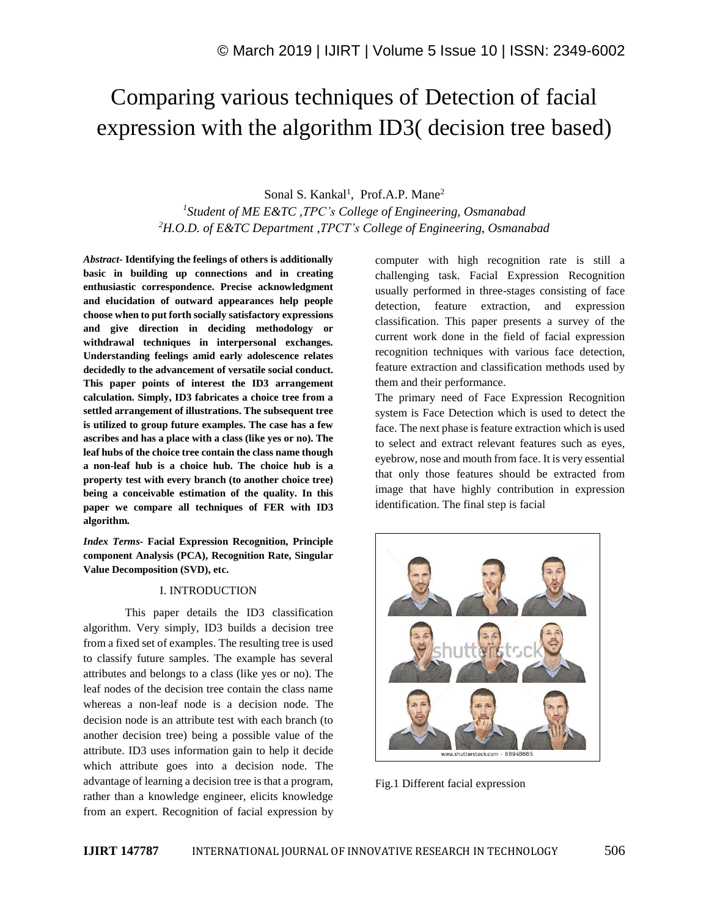# Comparing various techniques of Detection of facial expression with the algorithm ID3( decision tree based)

Sonal S. Kankal<sup>1</sup>, Prof.A.P. Mane<sup>2</sup>

*1 Student of ME E&TC ,TPC's College of Engineering, Osmanabad <sup>2</sup>H.O.D. of E&TC Department ,TPCT's College of Engineering, Osmanabad* 

*Abstract-* **Identifying the feelings of others is additionally basic in building up connections and in creating enthusiastic correspondence. Precise acknowledgment and elucidation of outward appearances help people choose when to put forth socially satisfactory expressions and give direction in deciding methodology or withdrawal techniques in interpersonal exchanges. Understanding feelings amid early adolescence relates decidedly to the advancement of versatile social conduct. This paper points of interest the ID3 arrangement calculation. Simply, ID3 fabricates a choice tree from a settled arrangement of illustrations. The subsequent tree is utilized to group future examples. The case has a few ascribes and has a place with a class (like yes or no). The leaf hubs of the choice tree contain the class name though a non-leaf hub is a choice hub. The choice hub is a property test with every branch (to another choice tree) being a conceivable estimation of the quality. In this paper we compare all techniques of FER with ID3 algorithm.**

*Index Terms-* **Facial Expression Recognition, Principle component Analysis (PCA), Recognition Rate, Singular Value Decomposition (SVD), etc.**

#### I. INTRODUCTION

This paper details the ID3 classification algorithm. Very simply, ID3 builds a decision tree from a fixed set of examples. The resulting tree is used to classify future samples. The example has several attributes and belongs to a class (like yes or no). The leaf nodes of the decision tree contain the class name whereas a non-leaf node is a decision node. The decision node is an attribute test with each branch (to another decision tree) being a possible value of the attribute. ID3 uses information gain to help it decide which attribute goes into a decision node. The advantage of learning a decision tree is that a program, rather than a knowledge engineer, elicits knowledge from an expert. Recognition of facial expression by computer with high recognition rate is still a challenging task. Facial Expression Recognition usually performed in three-stages consisting of face detection, feature extraction, and expression classification. This paper presents a survey of the current work done in the field of facial expression recognition techniques with various face detection, feature extraction and classification methods used by them and their performance.

The primary need of Face Expression Recognition system is Face Detection which is used to detect the face. The next phase is feature extraction which is used to select and extract relevant features such as eyes, eyebrow, nose and mouth from face. It is very essential that only those features should be extracted from image that have highly contribution in expression identification. The final step is facial



Fig.1 Different facial expression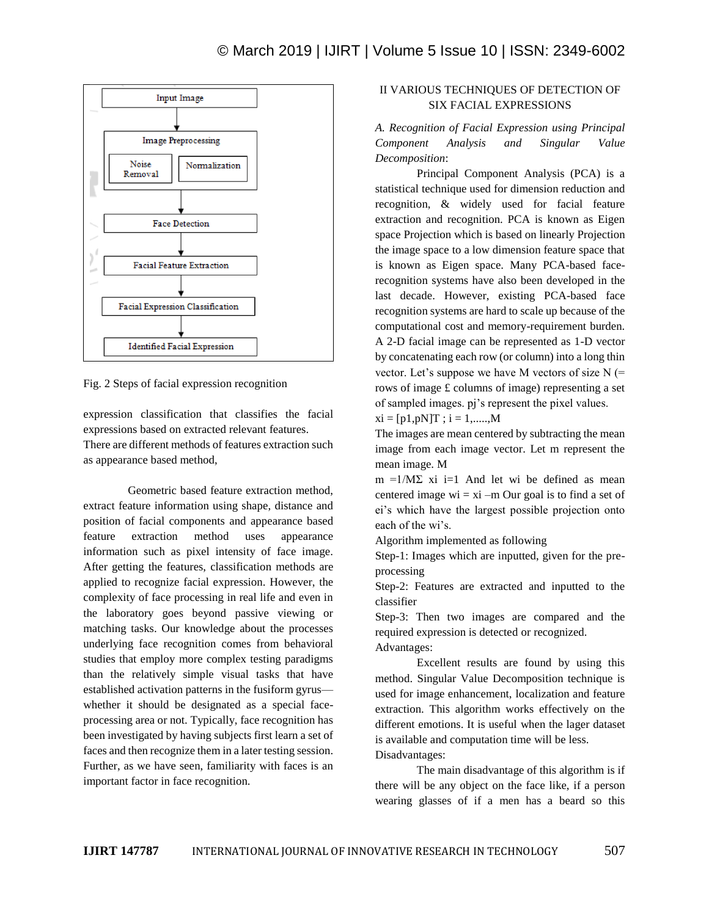

Fig. 2 Steps of facial expression recognition

expression classification that classifies the facial expressions based on extracted relevant features. There are different methods of features extraction such as appearance based method,

Geometric based feature extraction method, extract feature information using shape, distance and position of facial components and appearance based feature extraction method uses appearance information such as pixel intensity of face image. After getting the features, classification methods are applied to recognize facial expression. However, the complexity of face processing in real life and even in the laboratory goes beyond passive viewing or matching tasks. Our knowledge about the processes underlying face recognition comes from behavioral studies that employ more complex testing paradigms than the relatively simple visual tasks that have established activation patterns in the fusiform gyrus whether it should be designated as a special faceprocessing area or not. Typically, face recognition has been investigated by having subjects first learn a set of faces and then recognize them in a later testing session. Further, as we have seen, familiarity with faces is an important factor in face recognition.

# II VARIOUS TECHNIQUES OF DETECTION OF SIX FACIAL EXPRESSIONS

*A. Recognition of Facial Expression using Principal Component Analysis and Singular Value Decomposition*:

Principal Component Analysis (PCA) is a statistical technique used for dimension reduction and recognition, & widely used for facial feature extraction and recognition. PCA is known as Eigen space Projection which is based on linearly Projection the image space to a low dimension feature space that is known as Eigen space. Many PCA-based facerecognition systems have also been developed in the last decade. However, existing PCA-based face recognition systems are hard to scale up because of the computational cost and memory-requirement burden. A 2-D facial image can be represented as 1-D vector by concatenating each row (or column) into a long thin vector. Let's suppose we have M vectors of size  $N$  (= rows of image £ columns of image) representing a set of sampled images. pj's represent the pixel values.  $xi = [p1, pN]T$ ;  $i = 1, \dots, M$ 

The images are mean centered by subtracting the mean image from each image vector. Let m represent the mean image. M

m =1/M $\Sigma$  xi i=1 And let wi be defined as mean centered image  $wi = xi -m$  Our goal is to find a set of ei's which have the largest possible projection onto each of the wi's.

Algorithm implemented as following

Step-1: Images which are inputted, given for the preprocessing

Step-2: Features are extracted and inputted to the classifier

Step-3: Then two images are compared and the required expression is detected or recognized. Advantages:

Excellent results are found by using this method. Singular Value Decomposition technique is used for image enhancement, localization and feature extraction. This algorithm works effectively on the different emotions. It is useful when the lager dataset is available and computation time will be less. Disadvantages:

The main disadvantage of this algorithm is if there will be any object on the face like, if a person wearing glasses of if a men has a beard so this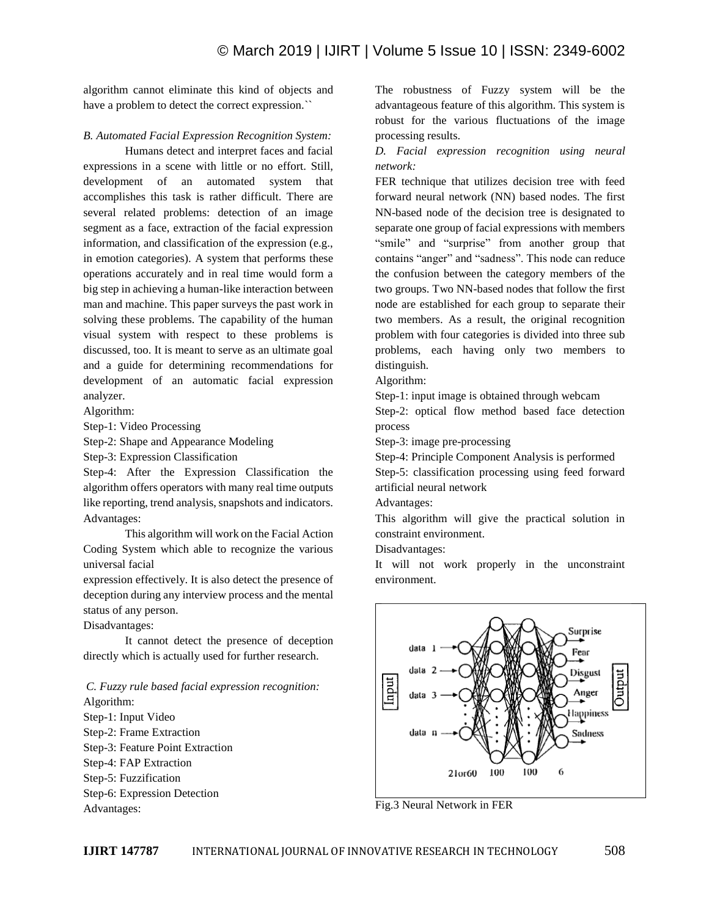algorithm cannot eliminate this kind of objects and have a problem to detect the correct expression.``

## *B. Automated Facial Expression Recognition System:*

Humans detect and interpret faces and facial expressions in a scene with little or no effort. Still, development of an automated system that accomplishes this task is rather difficult. There are several related problems: detection of an image segment as a face, extraction of the facial expression information, and classification of the expression (e.g., in emotion categories). A system that performs these operations accurately and in real time would form a big step in achieving a human-like interaction between man and machine. This paper surveys the past work in solving these problems. The capability of the human visual system with respect to these problems is discussed, too. It is meant to serve as an ultimate goal and a guide for determining recommendations for development of an automatic facial expression analyzer.

Algorithm:

Step-1: Video Processing

Step-2: Shape and Appearance Modeling

Step-3: Expression Classification

Step-4: After the Expression Classification the algorithm offers operators with many real time outputs like reporting, trend analysis, snapshots and indicators. Advantages:

This algorithm will work on the Facial Action Coding System which able to recognize the various universal facial

expression effectively. It is also detect the presence of deception during any interview process and the mental status of any person.

Disadvantages:

It cannot detect the presence of deception directly which is actually used for further research.

*C. Fuzzy rule based facial expression recognition:*

Algorithm: Step-1: Input Video Step-2: Frame Extraction Step-3: Feature Point Extraction Step-4: FAP Extraction Step-5: Fuzzification Step-6: Expression Detection Advantages:

The robustness of Fuzzy system will be the advantageous feature of this algorithm. This system is robust for the various fluctuations of the image processing results.

*D. Facial expression recognition using neural network:*

FER technique that utilizes decision tree with feed forward neural network (NN) based nodes. The first NN-based node of the decision tree is designated to separate one group of facial expressions with members "smile" and "surprise" from another group that contains "anger" and "sadness". This node can reduce the confusion between the category members of the two groups. Two NN-based nodes that follow the first node are established for each group to separate their two members. As a result, the original recognition problem with four categories is divided into three sub problems, each having only two members to distinguish.

Algorithm:

Step-1: input image is obtained through webcam

Step-2: optical flow method based face detection process

Step-3: image pre-processing

Step-4: Principle Component Analysis is performed

Step-5: classification processing using feed forward artificial neural network

Advantages:

This algorithm will give the practical solution in constraint environment.

Disadvantages:

It will not work properly in the unconstraint environment.



Fig.3 Neural Network in FER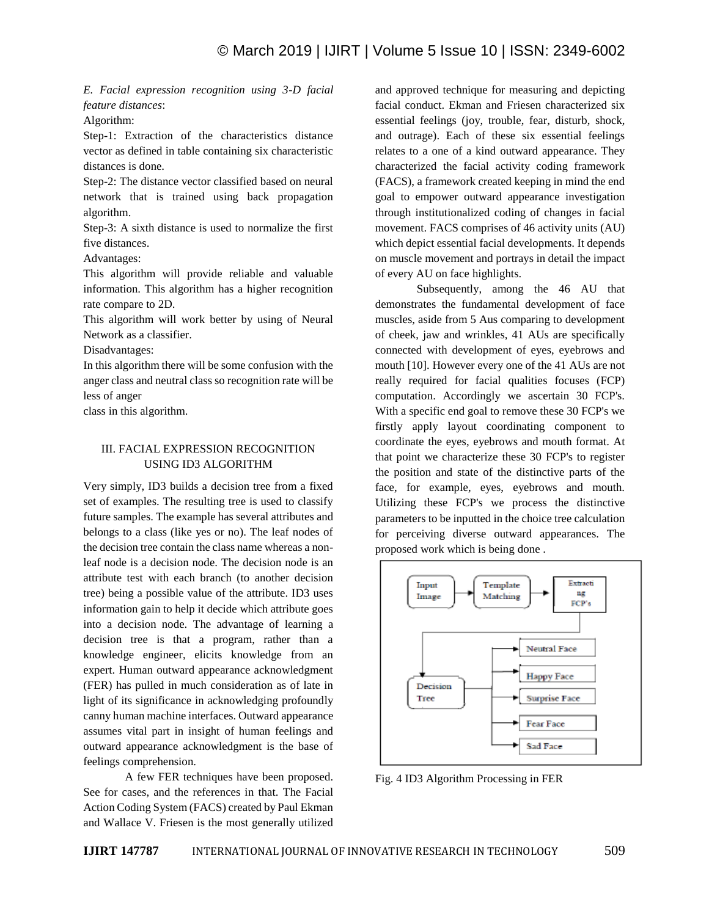*E. Facial expression recognition using 3-D facial feature distances*:

Algorithm:

Step-1: Extraction of the characteristics distance vector as defined in table containing six characteristic distances is done.

Step-2: The distance vector classified based on neural network that is trained using back propagation algorithm.

Step-3: A sixth distance is used to normalize the first five distances.

Advantages:

This algorithm will provide reliable and valuable information. This algorithm has a higher recognition rate compare to 2D.

This algorithm will work better by using of Neural Network as a classifier.

Disadvantages:

In this algorithm there will be some confusion with the anger class and neutral class so recognition rate will be less of anger

class in this algorithm.

# III. FACIAL EXPRESSION RECOGNITION USING ID3 ALGORITHM

Very simply, ID3 builds a decision tree from a fixed set of examples. The resulting tree is used to classify future samples. The example has several attributes and belongs to a class (like yes or no). The leaf nodes of the decision tree contain the class name whereas a nonleaf node is a decision node. The decision node is an attribute test with each branch (to another decision tree) being a possible value of the attribute. ID3 uses information gain to help it decide which attribute goes into a decision node. The advantage of learning a decision tree is that a program, rather than a knowledge engineer, elicits knowledge from an expert. Human outward appearance acknowledgment (FER) has pulled in much consideration as of late in light of its significance in acknowledging profoundly canny human machine interfaces. Outward appearance assumes vital part in insight of human feelings and outward appearance acknowledgment is the base of feelings comprehension.

A few FER techniques have been proposed. See for cases, and the references in that. The Facial Action Coding System (FACS) created by Paul Ekman and Wallace V. Friesen is the most generally utilized

and approved technique for measuring and depicting facial conduct. Ekman and Friesen characterized six essential feelings (joy, trouble, fear, disturb, shock, and outrage). Each of these six essential feelings relates to a one of a kind outward appearance. They characterized the facial activity coding framework (FACS), a framework created keeping in mind the end goal to empower outward appearance investigation through institutionalized coding of changes in facial movement. FACS comprises of 46 activity units (AU) which depict essential facial developments. It depends on muscle movement and portrays in detail the impact of every AU on face highlights.

Subsequently, among the 46 AU that demonstrates the fundamental development of face muscles, aside from 5 Aus comparing to development of cheek, jaw and wrinkles, 41 AUs are specifically connected with development of eyes, eyebrows and mouth [10]. However every one of the 41 AUs are not really required for facial qualities focuses (FCP) computation. Accordingly we ascertain 30 FCP's. With a specific end goal to remove these 30 FCP's we firstly apply layout coordinating component to coordinate the eyes, eyebrows and mouth format. At that point we characterize these 30 FCP's to register the position and state of the distinctive parts of the face, for example, eyes, eyebrows and mouth. Utilizing these FCP's we process the distinctive parameters to be inputted in the choice tree calculation for perceiving diverse outward appearances. The proposed work which is being done .



Fig. 4 ID3 Algorithm Processing in FER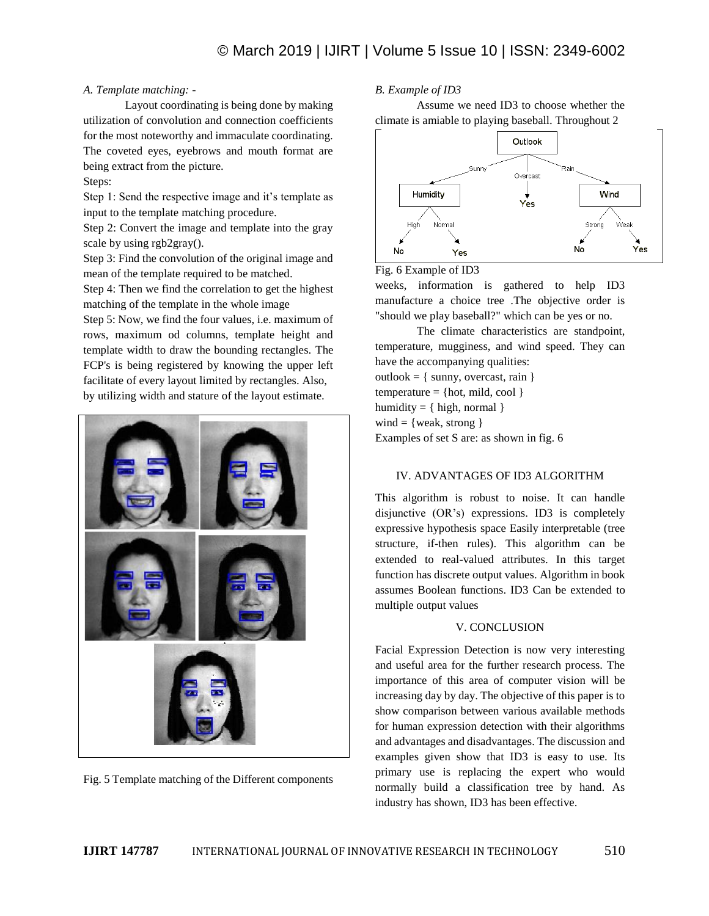# *A. Template matching: -*

Layout coordinating is being done by making utilization of convolution and connection coefficients for the most noteworthy and immaculate coordinating. The coveted eyes, eyebrows and mouth format are being extract from the picture. Steps:

Step 1: Send the respective image and it's template as input to the template matching procedure.

Step 2: Convert the image and template into the gray scale by using rgb2gray().

Step 3: Find the convolution of the original image and mean of the template required to be matched.

Step 4: Then we find the correlation to get the highest matching of the template in the whole image

Step 5: Now, we find the four values, i.e. maximum of rows, maximum od columns, template height and template width to draw the bounding rectangles. The FCP's is being registered by knowing the upper left facilitate of every layout limited by rectangles. Also, by utilizing width and stature of the layout estimate.



Fig. 5 Template matching of the Different components

# *B. Example of ID3*

Assume we need ID3 to choose whether the climate is amiable to playing baseball. Throughout 2



### Fig. 6 Example of ID3

weeks, information is gathered to help ID3 manufacture a choice tree .The objective order is "should we play baseball?" which can be yes or no.

The climate characteristics are standpoint, temperature, mugginess, and wind speed. They can have the accompanying qualities:  $outlook = \{ sunny, overcast, rain \}$ temperature  $=$  {hot, mild, cool } humidity =  $\{ high, normal \}$ wind  $=$  {weak, strong } Examples of set S are: as shown in fig. 6

# IV. ADVANTAGES OF ID3 ALGORITHM

This algorithm is robust to noise. It can handle disjunctive (OR's) expressions. ID3 is completely expressive hypothesis space Easily interpretable (tree structure, if-then rules). This algorithm can be extended to real-valued attributes. In this target function has discrete output values. Algorithm in book assumes Boolean functions. ID3 Can be extended to multiple output values

# V. CONCLUSION

Facial Expression Detection is now very interesting and useful area for the further research process. The importance of this area of computer vision will be increasing day by day. The objective of this paper is to show comparison between various available methods for human expression detection with their algorithms and advantages and disadvantages. The discussion and examples given show that ID3 is easy to use. Its primary use is replacing the expert who would normally build a classification tree by hand. As industry has shown, ID3 has been effective.